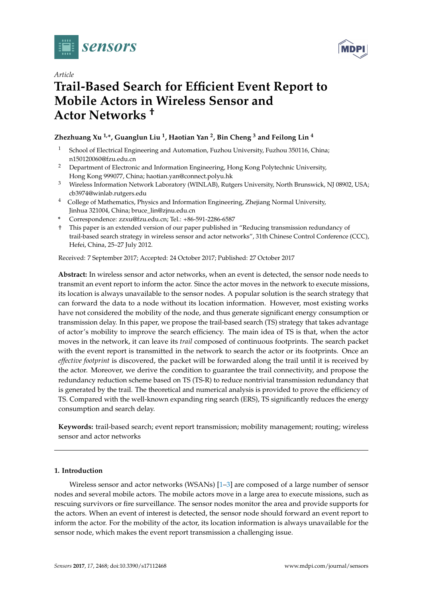



# *Article* **Trail-Based Search for Efficient Event Report to Mobile Actors in Wireless Sensor and Actor Networks †**

# **Zhezhuang Xu 1,\*, Guanglun Liu <sup>1</sup> , Haotian Yan <sup>2</sup> , Bin Cheng <sup>3</sup> and Feilong Lin <sup>4</sup>**

- <sup>1</sup> School of Electrical Engineering and Automation, Fuzhou University, Fuzhou 350116, China; n150120060@fzu.edu.cn
- <sup>2</sup> Department of Electronic and Information Engineering, Hong Kong Polytechnic University, Hong Kong 999077, China; haotian.yan@connect.polyu.hk
- <sup>3</sup> Wireless Information Network Laboratory (WINLAB), Rutgers University, North Brunswick, NJ 08902, USA; cb3974@winlab.rutgers.edu
- <sup>4</sup> College of Mathematics, Physics and Information Engineering, Zhejiang Normal University, Jinhua 321004, China; bruce\_lin@zjnu.edu.cn
- **\*** Correspondence: zzxu@fzu.edu.cn; Tel.: +86-591-2286-6587
- † This paper is an extended version of our paper published in "Reducing transmission redundancy of trail-based search strategy in wireless sensor and actor networks", 31th Chinese Control Conference (CCC), Hefei, China, 25–27 July 2012.

Received: 7 September 2017; Accepted: 24 October 2017; Published: 27 October 2017

**Abstract:** In wireless sensor and actor networks, when an event is detected, the sensor node needs to transmit an event report to inform the actor. Since the actor moves in the network to execute missions, its location is always unavailable to the sensor nodes. A popular solution is the search strategy that can forward the data to a node without its location information. However, most existing works have not considered the mobility of the node, and thus generate significant energy consumption or transmission delay. In this paper, we propose the trail-based search (TS) strategy that takes advantage of actor's mobility to improve the search efficiency. The main idea of TS is that, when the actor moves in the network, it can leave its *trail* composed of continuous footprints. The search packet with the event report is transmitted in the network to search the actor or its footprints. Once an *effective footprint* is discovered, the packet will be forwarded along the trail until it is received by the actor. Moreover, we derive the condition to guarantee the trail connectivity, and propose the redundancy reduction scheme based on TS (TS-R) to reduce nontrivial transmission redundancy that is generated by the trail. The theoretical and numerical analysis is provided to prove the efficiency of TS. Compared with the well-known expanding ring search (ERS), TS significantly reduces the energy consumption and search delay.

**Keywords:** trail-based search; event report transmission; mobility management; routing; wireless sensor and actor networks

# **1. Introduction**

Wireless sensor and actor networks (WSANs) [1-[3\]](#page-19-1) are composed of a large number of sensor nodes and several mobile actors. The mobile actors move in a large area to execute missions, such as rescuing survivors or fire surveillance. The sensor nodes monitor the area and provide supports for the actors. When an event of interest is detected, the sensor node should forward an event report to inform the actor. For the mobility of the actor, its location information is always unavailable for the sensor node, which makes the event report transmission a challenging issue.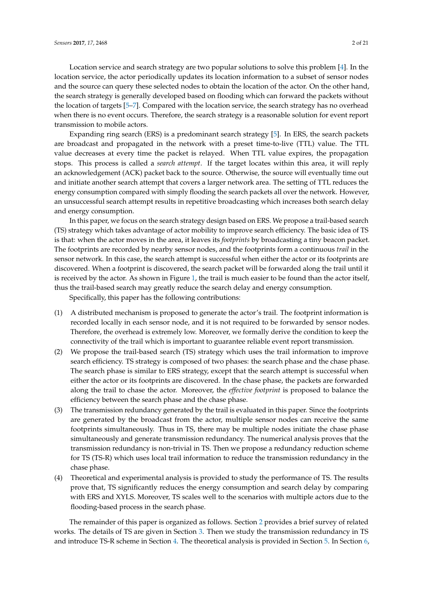Location service and search strategy are two popular solutions to solve this problem [\[4\]](#page-19-2). In the location service, the actor periodically updates its location information to a subset of sensor nodes and the source can query these selected nodes to obtain the location of the actor. On the other hand, the search strategy is generally developed based on flooding which can forward the packets without the location of targets [\[5–](#page-19-3)[7\]](#page-19-4). Compared with the location service, the search strategy has no overhead when there is no event occurs. Therefore, the search strategy is a reasonable solution for event report transmission to mobile actors.

Expanding ring search (ERS) is a predominant search strategy [\[5\]](#page-19-3). In ERS, the search packets are broadcast and propagated in the network with a preset time-to-live (TTL) value. The TTL value decreases at every time the packet is relayed. When TTL value expires, the propagation stops. This process is called a *search attempt*. If the target locates within this area, it will reply an acknowledgement (ACK) packet back to the source. Otherwise, the source will eventually time out and initiate another search attempt that covers a larger network area. The setting of TTL reduces the energy consumption compared with simply flooding the search packets all over the network. However, an unsuccessful search attempt results in repetitive broadcasting which increases both search delay and energy consumption.

In this paper, we focus on the search strategy design based on ERS. We propose a trail-based search (TS) strategy which takes advantage of actor mobility to improve search efficiency. The basic idea of TS is that: when the actor moves in the area, it leaves its *footprints* by broadcasting a tiny beacon packet. The footprints are recorded by nearby sensor nodes, and the footprints form a continuous *trail* in the sensor network. In this case, the search attempt is successful when either the actor or its footprints are discovered. When a footprint is discovered, the search packet will be forwarded along the trail until it is received by the actor. As shown in Figure [1,](#page-2-0) the trail is much easier to be found than the actor itself, thus the trail-based search may greatly reduce the search delay and energy consumption.

Specifically, this paper has the following contributions:

- (1) A distributed mechanism is proposed to generate the actor's trail. The footprint information is recorded locally in each sensor node, and it is not required to be forwarded by sensor nodes. Therefore, the overhead is extremely low. Moreover, we formally derive the condition to keep the connectivity of the trail which is important to guarantee reliable event report transmission.
- (2) We propose the trail-based search (TS) strategy which uses the trail information to improve search efficiency. TS strategy is composed of two phases: the search phase and the chase phase. The search phase is similar to ERS strategy, except that the search attempt is successful when either the actor or its footprints are discovered. In the chase phase, the packets are forwarded along the trail to chase the actor. Moreover, the *effective footprint* is proposed to balance the efficiency between the search phase and the chase phase.
- (3) The transmission redundancy generated by the trail is evaluated in this paper. Since the footprints are generated by the broadcast from the actor, multiple sensor nodes can receive the same footprints simultaneously. Thus in TS, there may be multiple nodes initiate the chase phase simultaneously and generate transmission redundancy. The numerical analysis proves that the transmission redundancy is non-trivial in TS. Then we propose a redundancy reduction scheme for TS (TS-R) which uses local trail information to reduce the transmission redundancy in the chase phase.
- (4) Theoretical and experimental analysis is provided to study the performance of TS. The results prove that, TS significantly reduces the energy consumption and search delay by comparing with ERS and XYLS. Moreover, TS scales well to the scenarios with multiple actors due to the flooding-based process in the search phase.

The remainder of this paper is organized as follows. Section [2](#page-2-1) provides a brief survey of related works. The details of TS are given in Section [3.](#page-4-0) Then we study the transmission redundancy in TS and introduce TS-R scheme in Section [4.](#page-6-0) The theoretical analysis is provided in Section [5.](#page-8-0) In Section [6,](#page-12-0)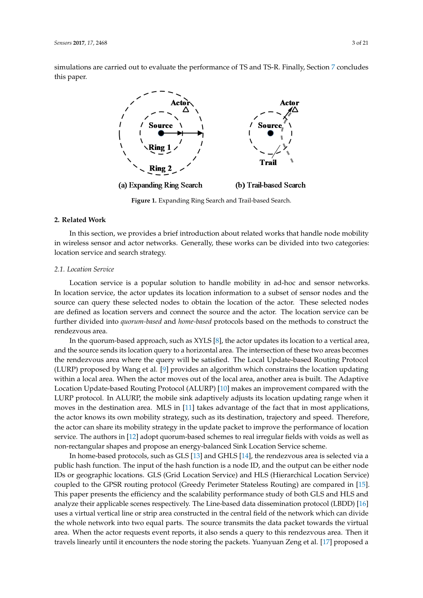<span id="page-2-0"></span>simulations are carried out to evaluate the performance of TS and TS-R. Finally, Section [7](#page-18-0) concludes this paper.



**Figure 1.** Expanding Ring Search and Trail-based Search.

# <span id="page-2-1"></span>**2. Related Work**

In this section, we provides a brief introduction about related works that handle node mobility in wireless sensor and actor networks. Generally, these works can be divided into two categories: location service and search strategy.

# *2.1. Location Service*

Location service is a popular solution to handle mobility in ad-hoc and sensor networks. In location service, the actor updates its location information to a subset of sensor nodes and the source can query these selected nodes to obtain the location of the actor. These selected nodes are defined as location servers and connect the source and the actor. The location service can be further divided into *quorum-based* and *home-based* protocols based on the methods to construct the rendezvous area.

In the quorum-based approach, such as XYLS [\[8\]](#page-19-5), the actor updates its location to a vertical area, and the source sends its location query to a horizontal area. The intersection of these two areas becomes the rendezvous area where the query will be satisfied. The Local Update-based Routing Protocol (LURP) proposed by Wang et al. [\[9\]](#page-19-6) provides an algorithm which constrains the location updating within a local area. When the actor moves out of the local area, another area is built. The Adaptive Location Update-based Routing Protocol (ALURP) [\[10\]](#page-19-7) makes an improvement compared with the LURP protocol. In ALURP, the mobile sink adaptively adjusts its location updating range when it moves in the destination area. MLS in [\[11\]](#page-19-8) takes advantage of the fact that in most applications, the actor knows its own mobility strategy, such as its destination, trajectory and speed. Therefore, the actor can share its mobility strategy in the update packet to improve the performance of location service. The authors in [\[12\]](#page-19-9) adopt quorum-based schemes to real irregular fields with voids as well as non-rectangular shapes and propose an energy-balanced Sink Location Service scheme.

In home-based protocols, such as GLS [\[13\]](#page-19-10) and GHLS [\[14\]](#page-19-11), the rendezvous area is selected via a public hash function. The input of the hash function is a node ID, and the output can be either node IDs or geographic locations. GLS (Grid Location Service) and HLS (Hierarchical Location Service) coupled to the GPSR routing protocol (Greedy Perimeter Stateless Routing) are compared in [\[15\]](#page-19-12). This paper presents the efficiency and the scalability performance study of both GLS and HLS and analyze their applicable scenes respectively. The Line-based data dissemination protocol (LBDD) [\[16\]](#page-19-13) uses a virtual vertical line or strip area constructed in the central field of the network which can divide the whole network into two equal parts. The source transmits the data packet towards the virtual area. When the actor requests event reports, it also sends a query to this rendezvous area. Then it travels linearly until it encounters the node storing the packets. Yuanyuan Zeng et al. [\[17\]](#page-19-14) proposed a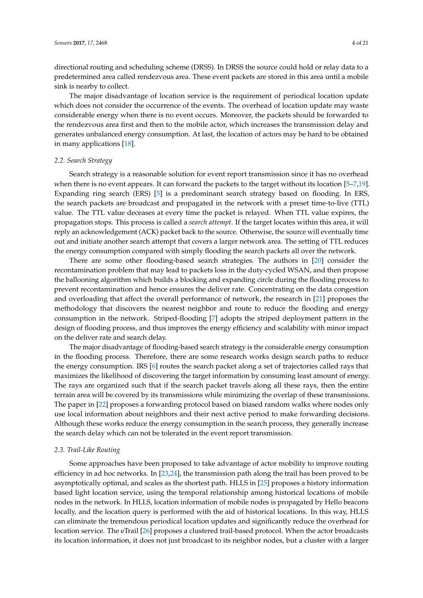directional routing and scheduling scheme (DRSS). In DRSS the source could hold or relay data to a predetermined area called rendezvous area. These event packets are stored in this area until a mobile sink is nearby to collect.

The major disadvantage of location service is the requirement of periodical location update which does not consider the occurrence of the events. The overhead of location update may waste considerable energy when there is no event occurs. Moreover, the packets should be forwarded to the rendezvous area first and then to the mobile actor, which increases the transmission delay and generates unbalanced energy consumption. At last, the location of actors may be hard to be obtained in many applications [\[18\]](#page-19-15).

# *2.2. Search Strategy*

Search strategy is a reasonable solution for event report transmission since it has no overhead when there is no event appears. It can forward the packets to the target without its location [\[5](#page-19-3)[–7,](#page-19-4)[19\]](#page-20-0). Expanding ring search (ERS) [\[5\]](#page-19-3) is a predominant search strategy based on flooding. In ERS, the search packets are broadcast and propagated in the network with a preset time-to-live (TTL) value. The TTL value deceases at every time the packet is relayed. When TTL value expires, the propagation stops. This process is called a *search attempt*. If the target locates within this area, it will reply an acknowledgement (ACK) packet back to the source. Otherwise, the source will eventually time out and initiate another search attempt that covers a larger network area. The setting of TTL reduces the energy consumption compared with simply flooding the search packets all over the network.

There are some other flooding-based search strategies. The authors in [\[20\]](#page-20-1) consider the recontamination problem that may lead to packets loss in the duty-cycled WSAN, and then propose the ballooning algorithm which builds a blocking and expanding circle during the flooding process to prevent recontamination and hence ensures the deliver rate. Concentrating on the data congestion and overloading that affect the overall performance of network, the research in [\[21\]](#page-20-2) proposes the methodology that discovers the nearest neighbor and route to reduce the flooding and energy consumption in the network. Striped-flooding [\[7\]](#page-19-4) adopts the striped deployment pattern in the design of flooding process, and thus improves the energy efficiency and scalability with minor impact on the deliver rate and search delay.

The major disadvantage of flooding-based search strategy is the considerable energy consumption in the flooding process. Therefore, there are some research works design search paths to reduce the energy consumption. IRS [\[6\]](#page-19-16) routes the search packet along a set of trajectories called rays that maximizes the likelihood of discovering the target information by consuming least amount of energy. The rays are organized such that if the search packet travels along all these rays, then the entire terrain area will be covered by its transmissions while minimizing the overlap of these transmissions. The paper in [\[22\]](#page-20-3) proposes a forwarding protocol based on biased random walks where nodes only use local information about neighbors and their next active period to make forwarding decisions. Although these works reduce the energy consumption in the search process, they generally increase the search delay which can not be tolerated in the event report transmission.

#### *2.3. Trail-Like Routing*

Some approaches have been proposed to take advantage of actor mobility to improve routing efficiency in ad hoc networks. In [\[23,](#page-20-4)[24\]](#page-20-5), the transmission path along the trail has been proved to be asymptotically optimal, and scales as the shortest path. HLLS in [\[25\]](#page-20-6) proposes a history information based light location service, using the temporal relationship among historical locations of mobile nodes in the network. In HLLS, location information of mobile nodes is propagated by Hello beacons locally, and the location query is performed with the aid of historical locations. In this way, HLLS can eliminate the tremendous periodical location updates and significantly reduce the overhead for location service. The eTrail [\[26\]](#page-20-7) proposes a clustered trail-based protocol. When the actor broadcasts its location information, it does not just broadcast to its neighbor nodes, but a cluster with a larger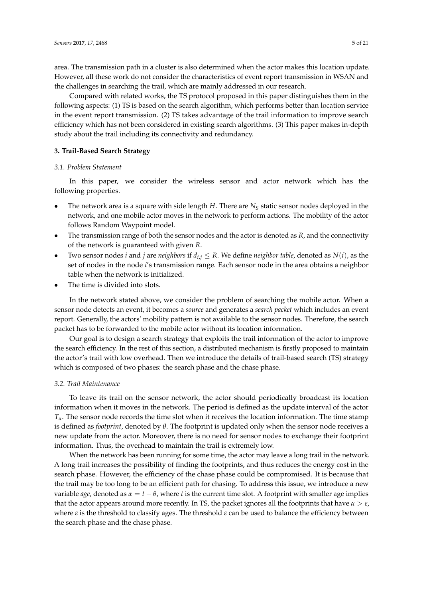area. The transmission path in a cluster is also determined when the actor makes this location update. However, all these work do not consider the characteristics of event report transmission in WSAN and the challenges in searching the trail, which are mainly addressed in our research.

Compared with related works, the TS protocol proposed in this paper distinguishes them in the following aspects: (1) TS is based on the search algorithm, which performs better than location service in the event report transmission. (2) TS takes advantage of the trail information to improve search efficiency which has not been considered in existing search algorithms. (3) This paper makes in-depth study about the trail including its connectivity and redundancy.

# <span id="page-4-0"></span>**3. Trail-Based Search Strategy**

# *3.1. Problem Statement*

In this paper, we consider the wireless sensor and actor network which has the following properties.

- The network area is a square with side length *H*. There are *N<sup>S</sup>* static sensor nodes deployed in the network, and one mobile actor moves in the network to perform actions. The mobility of the actor follows Random Waypoint model.
- The transmission range of both the sensor nodes and the actor is denoted as *R*, and the connectivity of the network is guaranteed with given *R*.
- Two sensor nodes *i* and *j* are *neighbors* if  $d_{i,j} \leq R$ . We define *neighbor table*, denoted as  $N(i)$ , as the set of nodes in the node *i*'s transmission range. Each sensor node in the area obtains a neighbor table when the network is initialized.
- The time is divided into slots.

In the network stated above, we consider the problem of searching the mobile actor. When a sensor node detects an event, it becomes a *source* and generates a *search packet* which includes an event report. Generally, the actors' mobility pattern is not available to the sensor nodes. Therefore, the search packet has to be forwarded to the mobile actor without its location information.

Our goal is to design a search strategy that exploits the trail information of the actor to improve the search efficiency. In the rest of this section, a distributed mechanism is firstly proposed to maintain the actor's trail with low overhead. Then we introduce the details of trail-based search (TS) strategy which is composed of two phases: the search phase and the chase phase.

#### *3.2. Trail Maintenance*

To leave its trail on the sensor network, the actor should periodically broadcast its location information when it moves in the network. The period is defined as the update interval of the actor  $T_u$ . The sensor node records the time slot when it receives the location information. The time stamp is defined as *footprint*, denoted by *θ*. The footprint is updated only when the sensor node receives a new update from the actor. Moreover, there is no need for sensor nodes to exchange their footprint information. Thus, the overhead to maintain the trail is extremely low.

When the network has been running for some time, the actor may leave a long trail in the network. A long trail increases the possibility of finding the footprints, and thus reduces the energy cost in the search phase. However, the efficiency of the chase phase could be compromised. It is because that the trail may be too long to be an efficient path for chasing. To address this issue, we introduce a new variable *age*, denoted as  $\alpha = t - \theta$ , where *t* is the current time slot. A footprint with smaller age implies that the actor appears around more recently. In TS, the packet ignores all the footprints that have  $\alpha > \varepsilon$ , where  $\varepsilon$  is the threshold to classify ages. The threshold  $\varepsilon$  can be used to balance the efficiency between the search phase and the chase phase.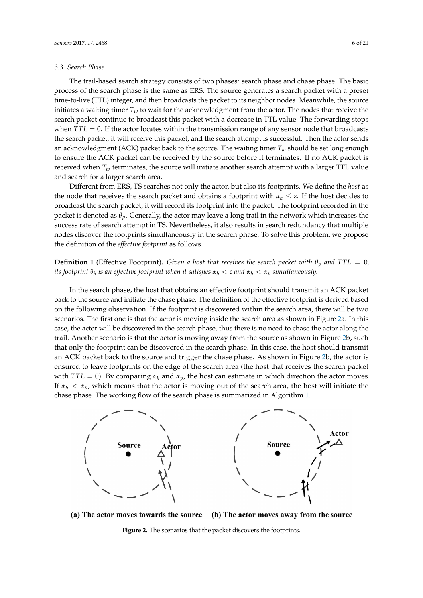#### *3.3. Search Phase*

The trail-based search strategy consists of two phases: search phase and chase phase. The basic process of the search phase is the same as ERS. The source generates a search packet with a preset time-to-live (TTL) integer, and then broadcasts the packet to its neighbor nodes. Meanwhile, the source initiates a waiting timer *T<sup>w</sup>* to wait for the acknowledgment from the actor. The nodes that receive the search packet continue to broadcast this packet with a decrease in TTL value. The forwarding stops when  $TTL = 0$ . If the actor locates within the transmission range of any sensor node that broadcasts the search packet, it will receive this packet, and the search attempt is successful. Then the actor sends an acknowledgment (ACK) packet back to the source. The waiting timer *T<sup>w</sup>* should be set long enough to ensure the ACK packet can be received by the source before it terminates. If no ACK packet is received when  $T_w$  terminates, the source will initiate another search attempt with a larger TTL value and search for a larger search area.

Different from ERS, TS searches not only the actor, but also its footprints. We define the *host* as the node that receives the search packet and obtains a footprint with  $\alpha_h \leq \varepsilon$ . If the host decides to broadcast the search packet, it will record its footprint into the packet. The footprint recorded in the packet is denoted as  $\theta_p$ . Generally, the actor may leave a long trail in the network which increases the success rate of search attempt in TS. Nevertheless, it also results in search redundancy that multiple nodes discover the footprints simultaneously in the search phase. To solve this problem, we propose the definition of the *effective footprint* as follows.

**Definition 1** (Effective Footprint). Given a host that receives the search packet with  $\theta_p$  and TTL = 0,  $i$ ts footprint  $\theta_h$  is an effective footprint when it satisfies  $\alpha_h<\varepsilon$  and  $\alpha_h<\alpha_p$  simultaneously.

In the search phase, the host that obtains an effective footprint should transmit an ACK packet back to the source and initiate the chase phase. The definition of the effective footprint is derived based on the following observation. If the footprint is discovered within the search area, there will be two scenarios. The first one is that the actor is moving inside the search area as shown in Figure [2a](#page-5-0). In this case, the actor will be discovered in the search phase, thus there is no need to chase the actor along the trail. Another scenario is that the actor is moving away from the source as shown in Figure [2b](#page-5-0), such that only the footprint can be discovered in the search phase. In this case, the host should transmit an ACK packet back to the source and trigger the chase phase. As shown in Figure [2b](#page-5-0), the actor is ensured to leave footprints on the edge of the search area (the host that receives the search packet with  $TTL = 0$ ). By comparing  $\alpha_h$  and  $\alpha_p$ , the host can estimate in which direction the actor moves. If  $\alpha_h < \alpha_p$ , which means that the actor is moving out of the search area, the host will initiate the chase phase. The working flow of the search phase is summarized in Algorithm [1.](#page-6-1)

<span id="page-5-0"></span>

(a) The actor moves towards the source (b) The actor moves away from the source

**Figure 2.** The scenarios that the packet discovers the footprints.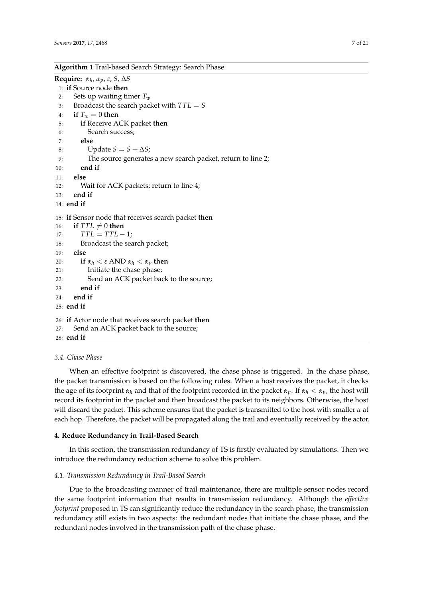```
Require: αh
, αp, ε, S, ∆S
1: if Source node then
2: Sets up waiting timer Tw
3: Broadcast the search packet with TTL = S
4: if T_w = 0 then
5: if Receive ACK packet then
6: Search success;
7: else
8: Update S = S + \Delta S;
9: The source generates a new search packet, return to line 2;
10: end if
11: else
12: Wait for ACK packets; return to line 4;
13: end if
14: end if
15: if Sensor node that receives search packet then
16: if TTL \neq 0 then
17: TTL = TTL - 1;18: Broadcast the search packet;
19: else
20: if \alpha_h < \varepsilon AND \alpha_h < \alpha_p then
21: Initiate the chase phase;
22: Send an ACK packet back to the source;
23: end if
24: end if
25: end if
26: if Actor node that receives search packet then
27: Send an ACK packet back to the source;
28: end if
```
# *3.4. Chase Phase*

When an effective footprint is discovered, the chase phase is triggered. In the chase phase, the packet transmission is based on the following rules. When a host receives the packet, it checks the age of its footprint  $\alpha_h$  and that of the footprint recorded in the packet  $\alpha_p$ . If  $\alpha_h < \alpha_p$ , the host will record its footprint in the packet and then broadcast the packet to its neighbors. Otherwise, the host will discard the packet. This scheme ensures that the packet is transmitted to the host with smaller *α* at each hop. Therefore, the packet will be propagated along the trail and eventually received by the actor.

#### <span id="page-6-0"></span>**4. Reduce Redundancy in Trail-Based Search**

In this section, the transmission redundancy of TS is firstly evaluated by simulations. Then we introduce the redundancy reduction scheme to solve this problem.

#### <span id="page-6-2"></span>*4.1. Transmission Redundancy in Trail-Based Search*

Due to the broadcasting manner of trail maintenance, there are multiple sensor nodes record the same footprint information that results in transmission redundancy. Although the *effective footprint* proposed in TS can significantly reduce the redundancy in the search phase, the transmission redundancy still exists in two aspects: the redundant nodes that initiate the chase phase, and the redundant nodes involved in the transmission path of the chase phase.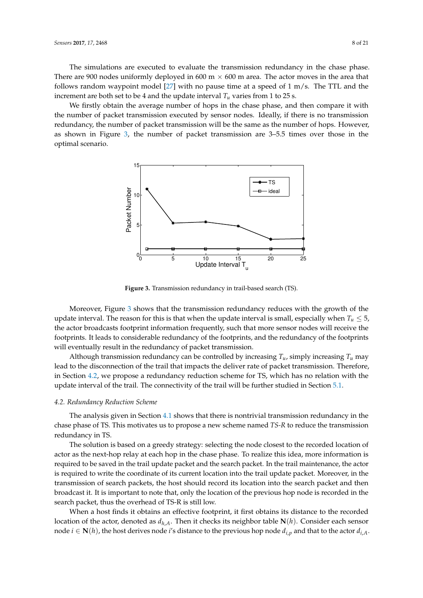The simulations are executed to evaluate the transmission redundancy in the chase phase. There are 900 nodes uniformly deployed in 600 m  $\times$  600 m area. The actor moves in the area that follows random waypoint model  $[27]$  with no pause time at a speed of 1 m/s. The TTL and the increment are both set to be 4 and the update interval  $T_u$  varies from 1 to 25 s.

<span id="page-7-0"></span>We firstly obtain the average number of hops in the chase phase, and then compare it with the number of packet transmission executed by sensor nodes. Ideally, if there is no transmission redundancy, the number of packet transmission will be the same as the number of hops. However, as shown in Figure [3,](#page-7-0) the number of packet transmission are 3–5.5 times over those in the optimal scenario.



**Figure 3.** Transmission redundancy in trail-based search (TS).

Moreover, Figure [3](#page-7-0) shows that the transmission redundancy reduces with the growth of the update interval. The reason for this is that when the update interval is small, especially when  $T_u \leq 5$ , the actor broadcasts footprint information frequently, such that more sensor nodes will receive the footprints. It leads to considerable redundancy of the footprints, and the redundancy of the footprints will eventually result in the redundancy of packet transmission.

Although transmission redundancy can be controlled by increasing  $T_u$ , simply increasing  $T_u$  may lead to the disconnection of the trail that impacts the deliver rate of packet transmission. Therefore, in Section [4.2,](#page-7-1) we propose a redundancy reduction scheme for TS, which has no relation with the update interval of the trail. The connectivity of the trail will be further studied in Section [5.1.](#page-9-0)

#### <span id="page-7-1"></span>*4.2. Redundancy Reduction Scheme*

The analysis given in Section [4.1](#page-6-2) shows that there is nontrivial transmission redundancy in the chase phase of TS. This motivates us to propose a new scheme named *TS-R* to reduce the transmission redundancy in TS.

The solution is based on a greedy strategy: selecting the node closest to the recorded location of actor as the next-hop relay at each hop in the chase phase. To realize this idea, more information is required to be saved in the trail update packet and the search packet. In the trail maintenance, the actor is required to write the coordinate of its current location into the trail update packet. Moreover, in the transmission of search packets, the host should record its location into the search packet and then broadcast it. It is important to note that, only the location of the previous hop node is recorded in the search packet, thus the overhead of TS-R is still low.

When a host finds it obtains an effective footprint, it first obtains its distance to the recorded location of the actor, denoted as  $d_{h,A}$ . Then it checks its neighbor table  $N(h)$ . Consider each sensor node *i* ∈ **N**(*h*), the host derives node *i*'s distance to the previous hop node  $d_{i,p}$  and that to the actor  $d_{i,A}$ .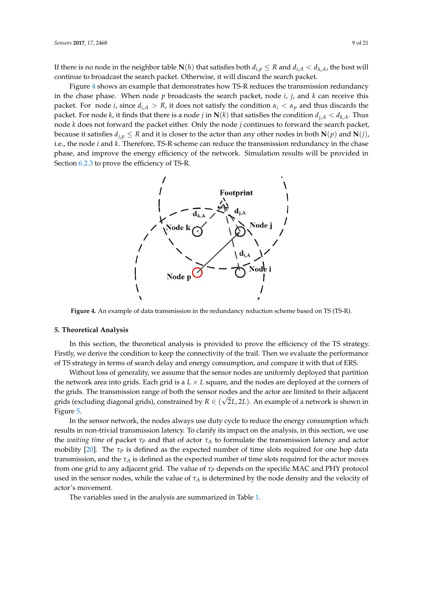If there is no node in the neighbor table  $N(h)$  that satisfies both  $d_{i,p} \leq R$  and  $d_{i,A} < d_{h,A}$ , the host will continue to broadcast the search packet. Otherwise, it will discard the search packet.

Figure [4](#page-8-1) shows an example that demonstrates how TS-R reduces the transmission redundancy in the chase phase. When node *p* broadcasts the search packet, node *i*, *j*, and *k* can receive this packet. For node *i*, since  $d_{i,A} > R$ , it does not satisfy the condition  $\alpha_i < \alpha_p$  and thus discards the packet. For node *k*, it finds that there is a node *j* in  $N(k)$  that satisfies the condition  $d_{i,A} < d_{k,A}$ . Thus node *k* does not forward the packet either. Only the node *j* continues to forward the search packet, because it satisfies  $d_{i,p} \leq R$  and it is closer to the actor than any other nodes in both  $N(p)$  and  $N(j)$ , i.e., the node *i* and *k*. Therefore, TS-R scheme can reduce the transmission redundancy in the chase phase, and improve the energy efficiency of the network. Simulation results will be provided in Section [6.2.3](#page-15-0) to prove the efficiency of TS-R.

<span id="page-8-1"></span>

**Figure 4.** An example of data transmission in the redundancy reduction scheme based on TS (TS-R).

# <span id="page-8-0"></span>**5. Theoretical Analysis**

In this section, the theoretical analysis is provided to prove the efficiency of the TS strategy. Firstly, we derive the condition to keep the connectivity of the trail. Then we evaluate the performance of TS strategy in terms of search delay and energy consumption, and compare it with that of ERS.

Without loss of generality, we assume that the sensor nodes are uniformly deployed that partition the network area into grids. Each grid is a *L* × *L* square, and the nodes are deployed at the corners of the grids. The transmission range of both the sensor nodes and the actor are limited to their adjacent grids (excluding diagonal grids), constrained by *R* ∈ ( 2*L*, 2*L*). An example of a network is shown in Figure [5.](#page-9-1)

In the sensor network, the nodes always use duty cycle to reduce the energy consumption which results in non-trivial transmission latency. To clarify its impact on the analysis, in this section, we use the *waiting time* of packet *τ<sup>P</sup>* and that of actor *τ<sup>A</sup>* to formulate the transmission latency and actor mobility [\[20\]](#page-20-1). The *τ<sup>P</sup>* is defined as the expected number of time slots required for one hop data transmission, and the *τ<sup>A</sup>* is defined as the expected number of time slots required for the actor moves from one grid to any adjacent grid. The value of *τ<sup>P</sup>* depends on the specific MAC and PHY protocol used in the sensor nodes, while the value of *τ<sup>A</sup>* is determined by the node density and the velocity of actor's movement.

The variables used in the analysis are summarized in Table [1.](#page-9-2)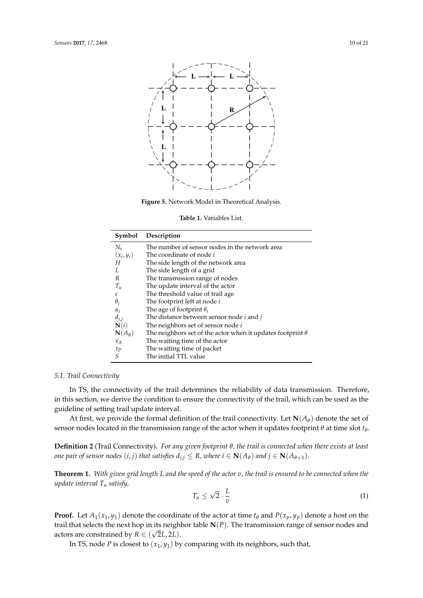<span id="page-9-1"></span>

**Figure 5.** Network Model in Theoretical Analysis.

**Table 1.** Variables List.

<span id="page-9-2"></span>

| Symbol                   | Description                                                       |
|--------------------------|-------------------------------------------------------------------|
| $N_{\rm s}$              | The number of sensor nodes in the network area                    |
| $(x_i, y_i)$             | The coordinate of node <i>i</i>                                   |
| Н                        | The side length of the network area                               |
|                          | The side length of a grid                                         |
| R                        | The transmission range of nodes                                   |
| $T_u$                    | The update interval of the actor                                  |
| ε                        | The threshold value of trail age                                  |
| $\theta_i$               | The footprint left at node i                                      |
| $\alpha_i$               | The age of footprint $\theta_i$                                   |
| $d_{i,j}$                | The distance between sensor node <i>i</i> and <i>j</i>            |
| N(i)                     | The neighbors set of sensor node i                                |
| $\mathbf{N}(A_{\theta})$ | The neighbors set of the actor when it updates footprint $\theta$ |
| $\tau_A$                 | The waiting time of the actor                                     |
| $\tau_P$                 | The waiting time of packet                                        |
| S                        | The initial TTL value                                             |

# <span id="page-9-0"></span>*5.1. Trail Connectivity*

In TS, the connectivity of the trail determines the reliability of data transmission. Therefore, in this section, we derive the condition to ensure the connectivity of the trail, which can be used as the guideline of setting trail update interval.

At first, we provide the formal definition of the trail connectivity. Let  $N(A_\theta)$  denote the set of sensor nodes located in the transmission range of the actor when it updates footprint  $\theta$  at time slot  $t_\theta$ .

**Definition 2** (Trail Connectivity)**.** *For any given footprint θ, the trail is connected when there exists at least one pair of sensor nodes*  $(i, j)$  *that satisfies*  $d_{i,j} \leq R$ *, where*  $i \in N(A_\theta)$  *and*  $j \in N(A_{\theta+1})$ *.* 

<span id="page-9-4"></span>**Theorem 1.** *With given grid length L and the speed of the actor v, the trail is ensured to be connected when the update interval T<sup>u</sup> satisfy,*

<span id="page-9-3"></span>
$$
T_u \leq \sqrt{2} \cdot \frac{L}{v} \tag{1}
$$

**Proof.** Let  $A_1(x_1, y_1)$  denote the coordinate of the actor at time  $t_\theta$  and  $P(x_p, y_p)$  denote a host on the trail that selects the next hop in its neighbor table  $N(P)$ . The transmission range of sensor nodes and actors are constrained by  $R \in (\sqrt{2L}, 2L)$ .

In TS, node *P* is closest to  $(x_1, y_1)$  by comparing with its neighbors, such that,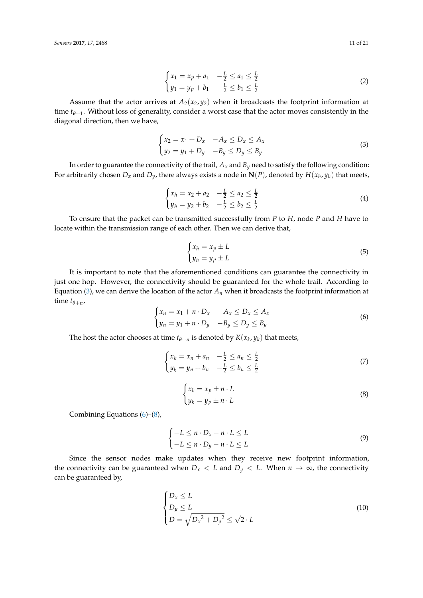$$
\begin{cases} x_1 = x_p + a_1 & -\frac{L}{2} \le a_1 \le \frac{L}{2} \\ y_1 = y_p + b_1 & -\frac{L}{2} \le b_1 \le \frac{L}{2} \end{cases}
$$
 (2)

Assume that the actor arrives at  $A_2(x_2, y_2)$  when it broadcasts the footprint information at time *tθ*+<sup>1</sup> . Without loss of generality, consider a worst case that the actor moves consistently in the diagonal direction, then we have,

<span id="page-10-0"></span>
$$
\begin{cases}\nx_2 = x_1 + D_x & -A_x \le D_x \le A_x \\
y_2 = y_1 + D_y & -B_y \le D_y \le B_y\n\end{cases}\n\tag{3}
$$

In order to guarantee the connectivity of the trail,  $A_x$  and  $B_y$  need to satisfy the following condition: For arbitrarily chosen  $D_x$  and  $D_y$ , there always exists a node in  $\mathbf{N}(P)$ , denoted by  $H(x_h, y_h)$  that meets,

$$
\begin{cases} x_h = x_2 + a_2 & -\frac{L}{2} \le a_2 \le \frac{L}{2} \\ y_h = y_2 + b_2 & -\frac{L}{2} \le b_2 \le \frac{L}{2} \end{cases}
$$
 (4)

To ensure that the packet can be transmitted successfully from *P* to *H*, node *P* and *H* have to locate within the transmission range of each other. Then we can derive that,

$$
\begin{cases} x_h = x_p \pm L \\ y_h = y_p \pm L \end{cases}
$$
 (5)

It is important to note that the aforementioned conditions can guarantee the connectivity in just one hop. However, the connectivity should be guaranteed for the whole trail. According to Equation [\(3\)](#page-10-0), we can derive the location of the actor  $A_n$  when it broadcasts the footprint information at time  $t_{\theta+n}$ ,

<span id="page-10-1"></span>
$$
\begin{cases} x_n = x_1 + n \cdot D_x & -A_x \le D_x \le A_x \\ y_n = y_1 + n \cdot D_y & -B_y \le D_y \le B_y \end{cases}
$$
 (6)

The host the actor chooses at time  $t_{\theta+n}$  is denoted by  $K(x_k, y_k)$  that meets,

$$
\begin{cases} x_k = x_n + a_n & -\frac{L}{2} \le a_n \le \frac{L}{2} \\ y_k = y_n + b_n & -\frac{L}{2} \le b_n \le \frac{L}{2} \end{cases}
$$
 (7)

<span id="page-10-2"></span>
$$
\begin{cases} x_k = x_p \pm n \cdot L \\ y_k = y_p \pm n \cdot L \end{cases}
$$
 (8)

Combining Equations [\(6\)](#page-10-1)–[\(8\)](#page-10-2),

$$
\begin{cases}\n-L \leq n \cdot D_x - n \cdot L \leq L \\
-L \leq n \cdot D_y - n \cdot L \leq L\n\end{cases} \tag{9}
$$

Since the sensor nodes make updates when they receive new footprint information, the connectivity can be guaranteed when  $D_x < L$  and  $D_y < L$ . When  $n \to \infty$ , the connectivity can be guaranteed by,

<span id="page-10-3"></span>
$$
\begin{cases}\nD_x \le L \\
D_y \le L \\
D = \sqrt{D_x^2 + D_y^2} \le \sqrt{2} \cdot L\n\end{cases}
$$
\n(10)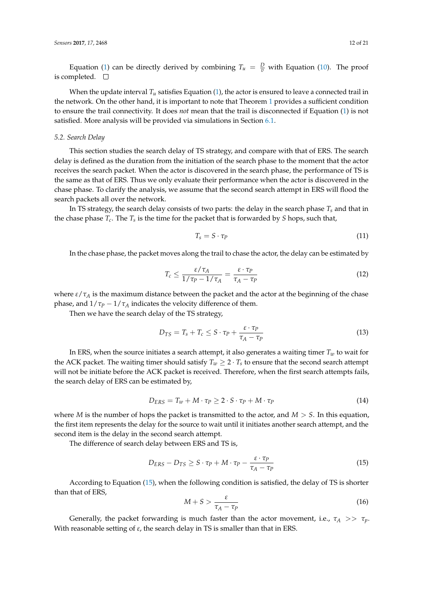Equation [\(1\)](#page-9-3) can be directly derived by combining  $T_u = \frac{D}{v}$  with Equation [\(10\)](#page-10-3). The proof is completed.  $\square$ 

When the update interval  $T_u$  satisfies Equation  $(1)$ , the actor is ensured to leave a connected trail in the network. On the other hand, it is important to note that Theorem [1](#page-9-4) provides a sufficient condition to ensure the trail connectivity. It does *not* mean that the trail is disconnected if Equation [\(1\)](#page-9-3) is not satisfied. More analysis will be provided via simulations in Section [6.1.](#page-13-0)

### <span id="page-11-2"></span>*5.2. Search Delay*

This section studies the search delay of TS strategy, and compare with that of ERS. The search delay is defined as the duration from the initiation of the search phase to the moment that the actor receives the search packet. When the actor is discovered in the search phase, the performance of TS is the same as that of ERS. Thus we only evaluate their performance when the actor is discovered in the chase phase. To clarify the analysis, we assume that the second search attempt in ERS will flood the search packets all over the network.

In TS strategy, the search delay consists of two parts: the delay in the search phase *T<sup>s</sup>* and that in the chase phase *Tc*. The *T<sup>s</sup>* is the time for the packet that is forwarded by *S* hops, such that,

$$
T_s = S \cdot \tau_P \tag{11}
$$

In the chase phase, the packet moves along the trail to chase the actor, the delay can be estimated by

<span id="page-11-1"></span>
$$
T_c \le \frac{\varepsilon/\tau_A}{1/\tau_P - 1/\tau_A} = \frac{\varepsilon \cdot \tau_P}{\tau_A - \tau_P} \tag{12}
$$

where  $\epsilon/\tau_A$  is the maximum distance between the packet and the actor at the beginning of the chase phase, and  $1/\tau_P - 1/\tau_A$  indicates the velocity difference of them.

Then we have the search delay of the TS strategy,

$$
D_{TS} = T_s + T_c \leq S \cdot \tau_P + \frac{\varepsilon \cdot \tau_P}{\tau_A - \tau_P} \tag{13}
$$

In ERS, when the source initiates a search attempt, it also generates a waiting timer  $T_w$  to wait for the ACK packet. The waiting timer should satisfy  $T_w > 2 \cdot T_s$  to ensure that the second search attempt will not be initiate before the ACK packet is received. Therefore, when the first search attempts fails, the search delay of ERS can be estimated by,

$$
D_{ERS} = T_w + M \cdot \tau_P \ge 2 \cdot S \cdot \tau_P + M \cdot \tau_P \tag{14}
$$

where *M* is the number of hops the packet is transmitted to the actor, and *M* > *S*. In this equation, the first item represents the delay for the source to wait until it initiates another search attempt, and the second item is the delay in the second search attempt.

The difference of search delay between ERS and TS is,

<span id="page-11-0"></span>
$$
D_{ERS} - D_{TS} \ge S \cdot \tau_P + M \cdot \tau_P - \frac{\varepsilon \cdot \tau_P}{\tau_A - \tau_P} \tag{15}
$$

According to Equation [\(15\)](#page-11-0), when the following condition is satisfied, the delay of TS is shorter than that of ERS,

$$
M+S > \frac{\varepsilon}{\tau_A - \tau_P} \tag{16}
$$

Generally, the packet forwarding is much faster than the actor movement, i.e.,  $\tau_A \gg \tau_p$ . With reasonable setting of *ε*, the search delay in TS is smaller than that in ERS.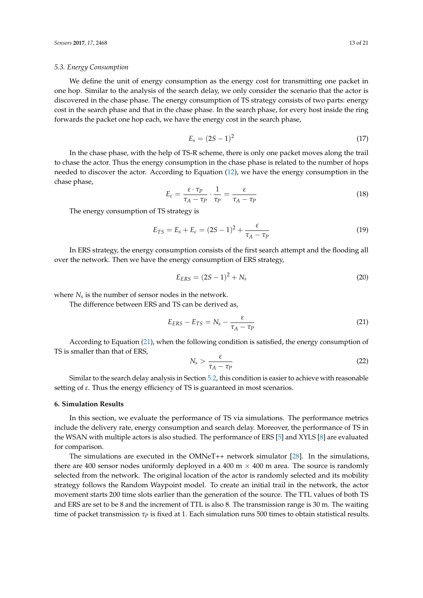### <span id="page-12-2"></span>*5.3. Energy Consumption*

We define the unit of energy consumption as the energy cost for transmitting one packet in one hop. Similar to the analysis of the search delay, we only consider the scenario that the actor is discovered in the chase phase. The energy consumption of TS strategy consists of two parts: energy cost in the search phase and that in the chase phase. In the search phase, for every host inside the ring forwards the packet one hop each, we have the energy cost in the search phase,

$$
E_s = (2S - 1)^2 \tag{17}
$$

In the chase phase, with the help of TS-R scheme, there is only one packet moves along the trail to chase the actor. Thus the energy consumption in the chase phase is related to the number of hops needed to discover the actor. According to Equation [\(12\)](#page-11-1), we have the energy consumption in the chase phase,

$$
E_c = \frac{\varepsilon \cdot \tau_P}{\tau_A - \tau_P} \cdot \frac{1}{\tau_P} = \frac{\varepsilon}{\tau_A - \tau_P} \tag{18}
$$

The energy consumption of TS strategy is

$$
E_{TS} = E_s + E_c = (2S - 1)^2 + \frac{\varepsilon}{\tau_A - \tau_P}
$$
\n(19)

In ERS strategy, the energy consumption consists of the first search attempt and the flooding all over the network. Then we have the energy consumption of ERS strategy,

$$
E_{ERS} = (2S - 1)^2 + N_s \tag{20}
$$

where  $N_s$  is the number of sensor nodes in the network.

The difference between ERS and TS can be derived as,

<span id="page-12-1"></span>
$$
E_{ERS} - E_{TS} = N_s - \frac{\varepsilon}{\tau_A - \tau_P} \tag{21}
$$

According to Equation [\(21\)](#page-12-1), when the following condition is satisfied, the energy consumption of TS is smaller than that of ERS,

$$
N_s > \frac{\varepsilon}{\tau_A - \tau_P} \tag{22}
$$

Similar to the search delay analysis in Section [5.2,](#page-11-2) this condition is easier to achieve with reasonable setting of *ε*. Thus the energy efficiency of TS is guaranteed in most scenarios.

#### <span id="page-12-0"></span>**6. Simulation Results**

In this section, we evaluate the performance of TS via simulations. The performance metrics include the delivery rate, energy consumption and search delay. Moreover, the performance of TS in the WSAN with multiple actors is also studied. The performance of ERS [\[5\]](#page-19-3) and XYLS [\[8\]](#page-19-5) are evaluated for comparison.

The simulations are executed in the OMNeT++ network simulator [\[28\]](#page-20-9). In the simulations, there are 400 sensor nodes uniformly deployed in a 400 m  $\times$  400 m area. The source is randomly selected from the network. The original location of the actor is randomly selected and its mobility strategy follows the Random Waypoint model. To create an initial trail in the network, the actor movement starts 200 time slots earlier than the generation of the source. The TTL values of both TS and ERS are set to be 8 and the increment of TTL is also 8. The transmission range is 30 m. The waiting time of packet transmission *τ<sup>P</sup>* is fixed at 1. Each simulation runs 500 times to obtain statistical results.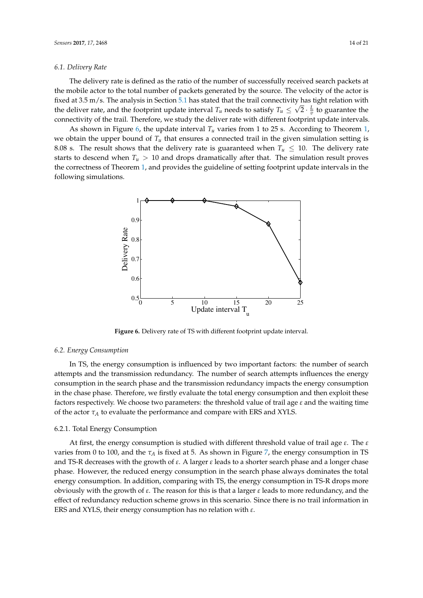### <span id="page-13-0"></span>*6.1. Delivery Rate*

The delivery rate is defined as the ratio of the number of successfully received search packets at the mobile actor to the total number of packets generated by the source. The velocity of the actor is fixed at 3.5 m/s. The analysis in Section [5.1](#page-9-0) has stated that the trail connectivity has tight relation with  $\frac{1}{2}$ the deliver rate, and the footprint update interval  $T_u$  needs to satisfy  $T_u \leq \sqrt{2} \cdot \frac{L}{v}$  to guarantee the connectivity of the trail. Therefore, we study the deliver rate with different footprint update intervals.

<span id="page-13-1"></span>As shown in Figure [6,](#page-13-1) the update interval  $T_u$  varies from 1 to 25 s. According to Theorem [1,](#page-9-4) we obtain the upper bound of  $T_u$  that ensures a connected trail in the given simulation setting is 8.08 s. The result shows that the delivery rate is guaranteed when  $T_u \leq 10$ . The delivery rate starts to descend when  $T_u > 10$  and drops dramatically after that. The simulation result proves the correctness of Theorem [1,](#page-9-4) and provides the guideline of setting footprint update intervals in the following simulations.



**Figure 6.** Delivery rate of TS with different footprint update interval.

#### *6.2. Energy Consumption*

In TS, the energy consumption is influenced by two important factors: the number of search attempts and the transmission redundancy. The number of search attempts influences the energy consumption in the search phase and the transmission redundancy impacts the energy consumption in the chase phase. Therefore, we firstly evaluate the total energy consumption and then exploit these factors respectively. We choose two parameters: the threshold value of trail age *ε* and the waiting time of the actor  $\tau_A$  to evaluate the performance and compare with ERS and XYLS.

#### 6.2.1. Total Energy Consumption

At first, the energy consumption is studied with different threshold value of trail age *ε*. The *ε* varies from 0 to 100, and the *τ<sup>A</sup>* is fixed at 5. As shown in Figure [7,](#page-14-0) the energy consumption in TS and TS-R decreases with the growth of *ε*. A larger *ε* leads to a shorter search phase and a longer chase phase. However, the reduced energy consumption in the search phase always dominates the total energy consumption. In addition, comparing with TS, the energy consumption in TS-R drops more obviously with the growth of *ε*. The reason for this is that a larger *ε* leads to more redundancy, and the effect of redundancy reduction scheme grows in this scenario. Since there is no trail information in ERS and XYLS, their energy consumption has no relation with *ε*.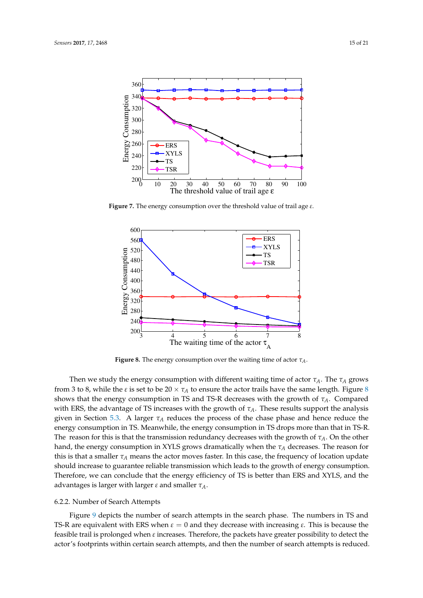<span id="page-14-0"></span>

<span id="page-14-1"></span>**Figure 7.** The energy consumption over the threshold value of trail age *ε*.



**Figure 8.** The energy consumption over the waiting time of actor *τA*.

Then we study the energy consumption with different waiting time of actor  $\tau_A$ . The  $\tau_A$  grows from 3 to [8](#page-14-1), while the  $\varepsilon$  is set to be 20  $\times \tau_A$  to ensure the actor trails have the same length. Figure 8 shows that the energy consumption in TS and TS-R decreases with the growth of *τA*. Compared with ERS, the advantage of TS increases with the growth of  $\tau_A$ . These results support the analysis given in Section [5.3.](#page-12-2) A larger  $\tau_A$  reduces the process of the chase phase and hence reduce the energy consumption in TS. Meanwhile, the energy consumption in TS drops more than that in TS-R. The reason for this is that the transmission redundancy decreases with the growth of  $\tau_A$ . On the other hand, the energy consumption in XYLS grows dramatically when the *τ<sup>A</sup>* decreases. The reason for this is that a smaller  $\tau_A$  means the actor moves faster. In this case, the frequency of location update should increase to guarantee reliable transmission which leads to the growth of energy consumption. Therefore, we can conclude that the energy efficiency of TS is better than ERS and XYLS, and the advantages is larger with larger *ε* and smaller *τA*.

#### 6.2.2. Number of Search Attempts

Figure [9](#page-15-1) depicts the number of search attempts in the search phase. The numbers in TS and TS-R are equivalent with ERS when *ε* = 0 and they decrease with increasing *ε*. This is because the feasible trail is prolonged when *ε* increases. Therefore, the packets have greater possibility to detect the actor's footprints within certain search attempts, and then the number of search attempts is reduced.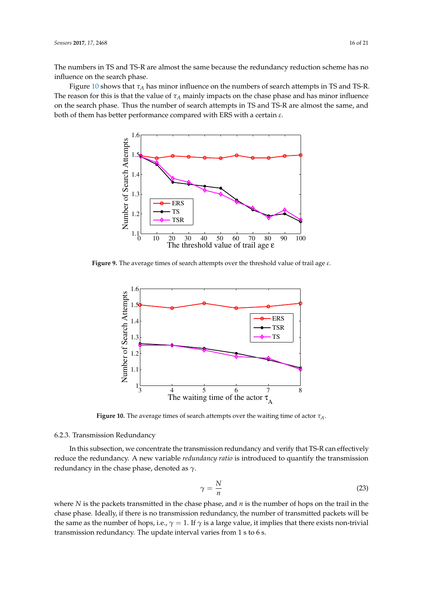The numbers in TS and TS-R are almost the same because the redundancy reduction scheme has no influence on the search phase.

<span id="page-15-1"></span>Figure [10](#page-15-2) shows that *τ<sup>A</sup>* has minor influence on the numbers of search attempts in TS and TS-R. The reason for this is that the value of *τ<sup>A</sup>* mainly impacts on the chase phase and has minor influence on the search phase. Thus the number of search attempts in TS and TS-R are almost the same, and both of them has better performance compared with ERS with a certain *ε*.



<span id="page-15-2"></span>**Figure 9.** The average times of search attempts over the threshold value of trail age *ε*.



**Figure 10.** The average times of search attempts over the waiting time of actor  $\tau_A$ .

# <span id="page-15-0"></span>6.2.3. Transmission Redundancy

In this subsection, we concentrate the transmission redundancy and verify that TS-R can effectively reduce the redundancy. A new variable *redundancy ratio* is introduced to quantify the transmission redundancy in the chase phase, denoted as *γ*.

$$
\gamma = \frac{N}{n} \tag{23}
$$

where *N* is the packets transmitted in the chase phase, and *n* is the number of hops on the trail in the chase phase. Ideally, if there is no transmission redundancy, the number of transmitted packets will be the same as the number of hops, i.e.,  $\gamma = 1$ . If  $\gamma$  is a large value, it implies that there exists non-trivial transmission redundancy. The update interval varies from 1 s to 6 s.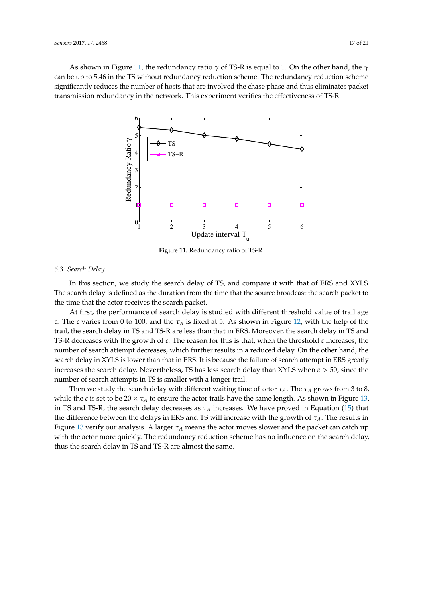<span id="page-16-0"></span>As shown in Figure [11,](#page-16-0) the redundancy ratio *γ* of TS-R is equal to 1. On the other hand, the *γ* can be up to 5.46 in the TS without redundancy reduction scheme. The redundancy reduction scheme significantly reduces the number of hosts that are involved the chase phase and thus eliminates packet transmission redundancy in the network. This experiment verifies the effectiveness of TS-R.



**Figure 11.** Redundancy ratio of TS-R.

#### *6.3. Search Delay*

In this section, we study the search delay of TS, and compare it with that of ERS and XYLS. The search delay is defined as the duration from the time that the source broadcast the search packet to the time that the actor receives the search packet.

At first, the performance of search delay is studied with different threshold value of trail age *ε*. The *ε* varies from 0 to 100, and the *τ<sup>A</sup>* is fixed at 5. As shown in Figure [12,](#page-17-0) with the help of the trail, the search delay in TS and TS-R are less than that in ERS. Moreover, the search delay in TS and TS-R decreases with the growth of *ε*. The reason for this is that, when the threshold *ε* increases, the number of search attempt decreases, which further results in a reduced delay. On the other hand, the search delay in XYLS is lower than that in ERS. It is because the failure of search attempt in ERS greatly increases the search delay. Nevertheless, TS has less search delay than XYLS when *ε* > 50, since the number of search attempts in TS is smaller with a longer trail.

Then we study the search delay with different waiting time of actor  $\tau_A$ . The  $\tau_A$  grows from 3 to 8, while the *ε* is set to be 20  $\times$  *τ<sub>A</sub>* to ensure the actor trails have the same length. As shown in Figure [13,](#page-17-1) in TS and TS-R, the search delay decreases as  $\tau_A$  increases. We have proved in Equation [\(15\)](#page-11-0) that the difference between the delays in ERS and TS will increase with the growth of  $\tau_A$ . The results in Figure [13](#page-17-1) verify our analysis. A larger *τ<sup>A</sup>* means the actor moves slower and the packet can catch up with the actor more quickly. The redundancy reduction scheme has no influence on the search delay, thus the search delay in TS and TS-R are almost the same.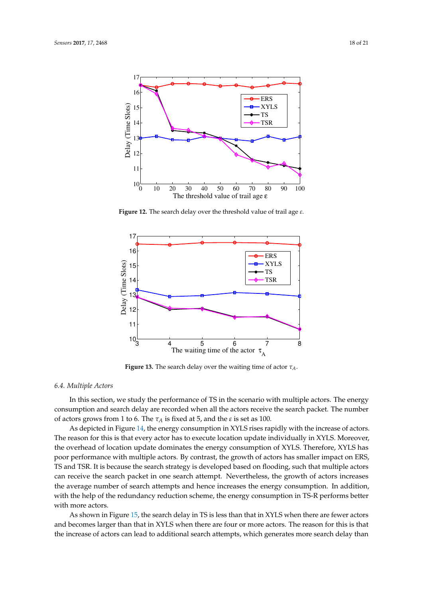<span id="page-17-0"></span>

**Figure 12.** The search delay over the threshold value of trail age *ε*.

<span id="page-17-1"></span>

**Figure 13.** The search delay over the waiting time of actor *τA*.

# *6.4. Multiple Actors*

In this section, we study the performance of TS in the scenario with multiple actors. The energy consumption and search delay are recorded when all the actors receive the search packet. The number of actors grows from 1 to 6. The  $\tau_A$  is fixed at 5, and the  $\varepsilon$  is set as 100.

As depicted in Figure [14,](#page-18-1) the energy consumption in XYLS rises rapidly with the increase of actors. The reason for this is that every actor has to execute location update individually in XYLS. Moreover, the overhead of location update dominates the energy consumption of XYLS. Therefore, XYLS has poor performance with multiple actors. By contrast, the growth of actors has smaller impact on ERS, TS and TSR. It is because the search strategy is developed based on flooding, such that multiple actors can receive the search packet in one search attempt. Nevertheless, the growth of actors increases the average number of search attempts and hence increases the energy consumption. In addition, with the help of the redundancy reduction scheme, the energy consumption in TS-R performs better with more actors.

As shown in Figure [15,](#page-18-2) the search delay in TS is less than that in XYLS when there are fewer actors and becomes larger than that in XYLS when there are four or more actors. The reason for this is that the increase of actors can lead to additional search attempts, which generates more search delay than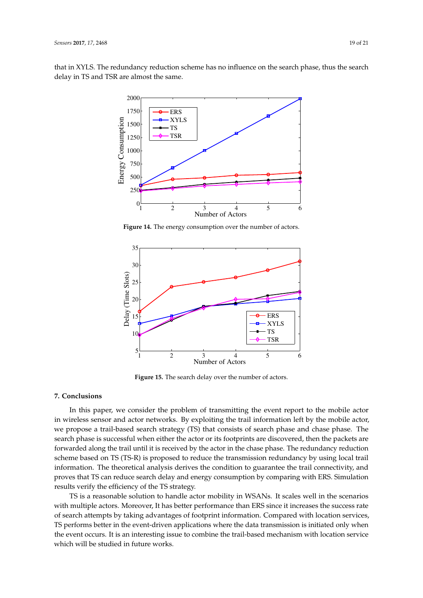<span id="page-18-1"></span>that in XYLS. The redundancy reduction scheme has no influence on the search phase, thus the search delay in TS and TSR are almost the same.



**Figure 14.** The energy consumption over the number of actors.

<span id="page-18-2"></span>

**Figure 15.** The search delay over the number of actors.

# <span id="page-18-0"></span>**7. Conclusions**

In this paper, we consider the problem of transmitting the event report to the mobile actor in wireless sensor and actor networks. By exploiting the trail information left by the mobile actor, we propose a trail-based search strategy (TS) that consists of search phase and chase phase. The search phase is successful when either the actor or its footprints are discovered, then the packets are forwarded along the trail until it is received by the actor in the chase phase. The redundancy reduction scheme based on TS (TS-R) is proposed to reduce the transmission redundancy by using local trail information. The theoretical analysis derives the condition to guarantee the trail connectivity, and proves that TS can reduce search delay and energy consumption by comparing with ERS. Simulation results verify the efficiency of the TS strategy.

TS is a reasonable solution to handle actor mobility in WSANs. It scales well in the scenarios with multiple actors. Moreover, It has better performance than ERS since it increases the success rate of search attempts by taking advantages of footprint information. Compared with location services, TS performs better in the event-driven applications where the data transmission is initiated only when the event occurs. It is an interesting issue to combine the trail-based mechanism with location service which will be studied in future works.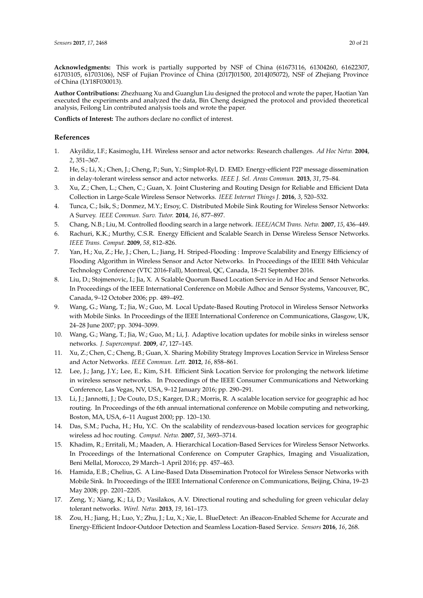**Acknowledgments:** This work is partially supported by NSF of China (61673116, 61304260, 61622307, 61703105, 61703106), NSF of Fujian Province of China (2017J01500, 2014J05072), NSF of Zhejiang Province of China (LY18F030013).

**Author Contributions:** Zhezhuang Xu and Guanglun Liu designed the protocol and wrote the paper, Haotian Yan executed the experiments and analyzed the data, Bin Cheng designed the protocol and provided theoretical analysis, Feilong Lin contributed analysis tools and wrote the paper.

**Conflicts of Interest:** The authors declare no conflict of interest.

# **References**

- <span id="page-19-0"></span>1. Akyildiz, I.F.; Kasimoglu, I.H. Wireless sensor and actor networks: Research challenges. *Ad Hoc Netw.* **2004**, *2*, 351–367.
- 2. He, S.; Li, X.; Chen, J.; Cheng, P.; Sun, Y.; Simplot-Ryl, D. EMD: Energy-efficient P2P message dissemination in delay-tolerant wireless sensor and actor networks. *IEEE J. Sel. Areas Commun.* **2013**, *31*, 75–84.
- <span id="page-19-1"></span>3. Xu, Z.; Chen, L.; Chen, C.; Guan, X. Joint Clustering and Routing Design for Reliable and Efficient Data Collection in Large-Scale Wireless Sensor Networks. *IEEE Internet Things J.* **2016**, *3*, 520–532.
- <span id="page-19-2"></span>4. Tunca, C.; Isik, S.; Donmez, M.Y.; Ersoy, C. Distributed Mobile Sink Routing for Wireless Sensor Networks: A Survey. *IEEE Commun. Surv. Tutor.* **2014**, *16*, 877–897.
- <span id="page-19-3"></span>5. Chang, N.B.; Liu, M. Controlled flooding search in a large network. *IEEE/ACM Trans. Netw.* **2007**, *15*, 436–449.
- <span id="page-19-16"></span>6. Rachuri, K.K.; Murthy, C.S.R. Energy Efficient and Scalable Search in Dense Wireless Sensor Networks. *IEEE Trans. Comput.* **2009**, *58*, 812–826.
- <span id="page-19-4"></span>7. Yan, H.; Xu, Z.; He, J.; Chen, L.; Jiang, H. Striped-Flooding : Improve Scalability and Energy Efficiency of Flooding Algorithm in Wireless Sensor and Actor Networks. In Proceedings of the IEEE 84th Vehicular Technology Conference (VTC 2016-Fall), Montreal, QC, Canada, 18–21 September 2016.
- <span id="page-19-5"></span>8. Liu, D.; Stojmenovic, I.; Jia, X. A Scalable Quorum Based Location Service in Ad Hoc and Sensor Networks. In Proceedings of the IEEE International Conference on Mobile Adhoc and Sensor Systems, Vancouver, BC, Canada, 9–12 October 2006; pp. 489–492.
- <span id="page-19-6"></span>9. Wang, G.; Wang, T.; Jia, W.; Guo, M. Local Update-Based Routing Protocol in Wireless Sensor Networks with Mobile Sinks. In Proceedings of the IEEE International Conference on Communications, Glasgow, UK, 24–28 June 2007; pp. 3094–3099.
- <span id="page-19-7"></span>10. Wang, G.; Wang, T.; Jia, W.; Guo, M.; Li, J. Adaptive location updates for mobile sinks in wireless sensor networks. *J. Supercomput.* **2009**, *47*, 127–145.
- <span id="page-19-8"></span>11. Xu, Z.; Chen, C.; Cheng, B.; Guan, X. Sharing Mobility Strategy Improves Location Service in Wireless Sensor and Actor Networks. *IEEE Commun. Lett.* **2012**, *16*, 858–861.
- <span id="page-19-9"></span>12. Lee, J.; Jang, J.Y.; Lee, E.; Kim, S.H. Efficient Sink Location Service for prolonging the network lifetime in wireless sensor networks. In Proceedings of the IEEE Consumer Communications and Networking Conference, Las Vegas, NV, USA, 9–12 January 2016; pp. 290–291.
- <span id="page-19-10"></span>13. Li, J.; Jannotti, J.; De Couto, D.S.; Karger, D.R.; Morris, R. A scalable location service for geographic ad hoc routing. In Proceedings of the 6th annual international conference on Mobile computing and networking, Boston, MA, USA, 6–11 August 2000; pp. 120–130.
- <span id="page-19-11"></span>14. Das, S.M.; Pucha, H.; Hu, Y.C. On the scalability of rendezvous-based location services for geographic wireless ad hoc routing. *Comput. Netw.* **2007**, *51*, 3693–3714.
- <span id="page-19-12"></span>15. Khadim, R.; Erritali, M.; Maaden, A. Hierarchical Location-Based Services for Wireless Sensor Networks. In Proceedings of the International Conference on Computer Graphics, Imaging and Visualization, Beni Mellal, Morocco, 29 March–1 April 2016; pp. 457–463.
- <span id="page-19-13"></span>16. Hamida, E.B.; Chelius, G. A Line-Based Data Dissemination Protocol for Wireless Sensor Networks with Mobile Sink. In Proceedings of the IEEE International Conference on Communications, Beijing, China, 19–23 May 2008; pp. 2201–2205.
- <span id="page-19-14"></span>17. Zeng, Y.; Xiang, K.; Li, D.; Vasilakos, A.V. Directional routing and scheduling for green vehicular delay tolerant networks. *Wirel. Netw.* **2013**, *19*, 161–173.
- <span id="page-19-15"></span>18. Zou, H.; Jiang, H.; Luo, Y.; Zhu, J.; Lu, X.; Xie, L. BlueDetect: An iBeacon-Enabled Scheme for Accurate and Energy-Efficient Indoor-Outdoor Detection and Seamless Location-Based Service. *Sensors* **2016**, *16*, 268.